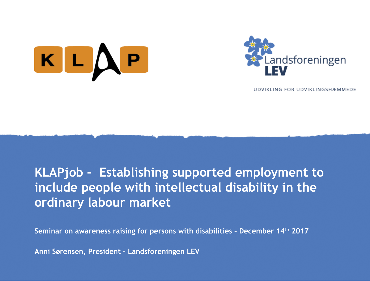



UDVIKLING FOR UDVIKLINGSHÆMMEDE

# **KLAPjob – Establishing supported employment to include people with intellectual disability in the ordinary labour market**

**Seminar on awareness raising for persons with disabilities – December 14th 2017**

**Anni Sørensen, President – Landsforeningen LEV**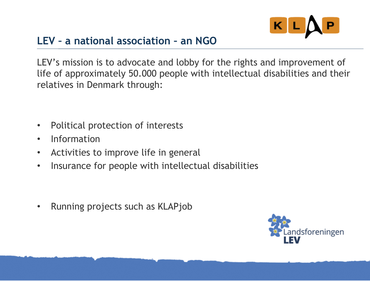

## **LEV – a national association – an NGO**

LEV's mission is to advocate and lobby for the rights and improvement of life of approximately 50.000 people with intellectual disabilities and their relatives in Denmark through:

- Political protection of interests
- Information
- Activities to improve life in general
- Insurance for people with intellectual disabilities

• Running projects such as KLAPjob

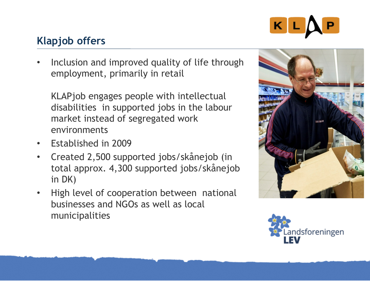

## **Klapjob offers**

Inclusion and improved quality of life through employment, primarily in retail

KLAPjob engages people with intellectual disabilities in supported jobs in the labour market instead of segregated work environments

- Established in 2009
- Created 2,500 supported jobs/skånejob (in total approx. 4,300 supported jobs/skånejob in DK)
- High level of cooperation between national businesses and NGOs as well as local municipalities



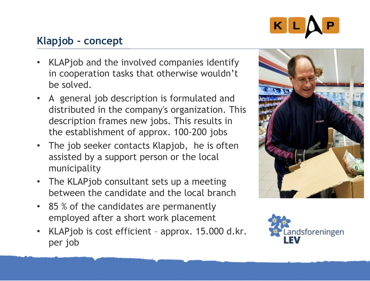

## **Klapjob - concept**

- KLAPjob and the involved companies identify in cooperation tasks that otherwise wouldn't be solved.
- A general job description is formulated and distributed in the company's organization. This description frames new jobs. This results in the establishment of approx. 100-200 jobs
- The job seeker contacts Klapjob, he is often assisted by a support person or the local municipality
- The KLAPjob consultant sets up a meeting between the candidate and the local branch
- 85 % of the candidates are permanently employed after a short work placement
- KLAPjob is cost efficient approx. 15.000 d.kr. per job



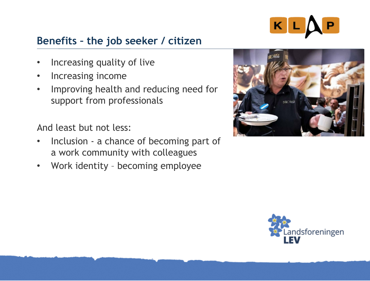

### **Benefits – the job seeker / citizen**

- Increasing quality of live
- Increasing income
- Improving health and reducing need for support from professionals

And least but not less:

- Inclusion a chance of becoming part of a work community with colleagues
- Work identity becoming employee



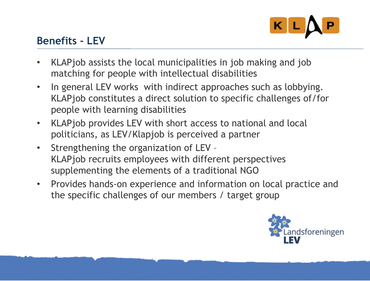

### **Benefits - LEV**

- KLAPjob assists the local municipalities in job making and job matching for people with intellectual disabilities
- In general LEV works with indirect approaches such as lobbying. KLAPjob constitutes a direct solution to specific challenges of/for people with learning disabilities
- KLAPjob provides LEV with short access to national and local politicians, as LEV/Klapjob is perceived a partner
- Strengthening the organization of LEV KLAPjob recruits employees with different perspectives supplementing the elements of a traditional NGO
- Provides hands-on experience and information on local practice and the specific challenges of our members / target group

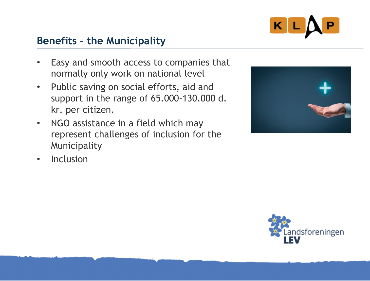

#### **Benefits – the Municipality**

- Easy and smooth access to companies that normally only work on national level
- Public saving on social efforts, aid and support in the range of 65.000-130.000 d. kr. per citizen.
- NGO assistance in a field which may represent challenges of inclusion for the Municipality



• Inclusion

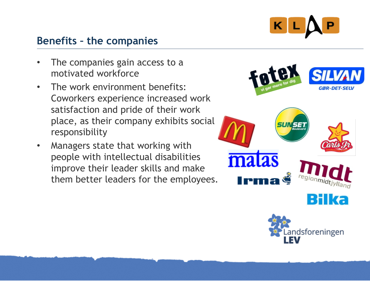

#### **Benefits – the companies**

- The companies gain access to a motivated workforce
- The work environment benefits: Coworkers experience increased work satisfaction and pride of their work place, as their company exhibits social responsibility
- Managers state that working with people with intellectual disabilities improve their leader skills and make them better leaders for the employees.

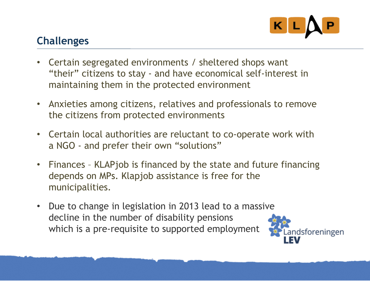

## **Challenges**

- Certain segregated environments / sheltered shops want "their" citizens to stay - and have economical self-interest in maintaining them in the protected environment
- Anxieties among citizens, relatives and professionals to remove the citizens from protected environments
- Certain local authorities are reluctant to co-operate work with a NGO - and prefer their own "solutions"
- Finances KLAPjob is financed by the state and future financing depends on MPs. Klapjob assistance is free for the municipalities.
- Due to change in legislation in 2013 lead to a massive decline in the number of disability pensions which is a pre-requisite to supported employment

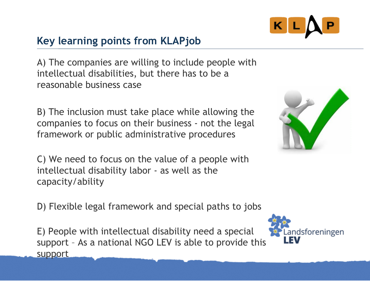

## **Key learning points from KLAPjob**

A) The companies are willing to include people with intellectual disabilities, but there has to be a reasonable business case

B) The inclusion must take place while allowing the companies to focus on their business - not the legal framework or public administrative procedures

C) We need to focus on the value of a people with intellectual disability labor - as well as the capacity/ability

D) Flexible legal framework and special paths to jobs

E) People with intellectual disability need a special support – As a national NGO LEV is able to provide this support